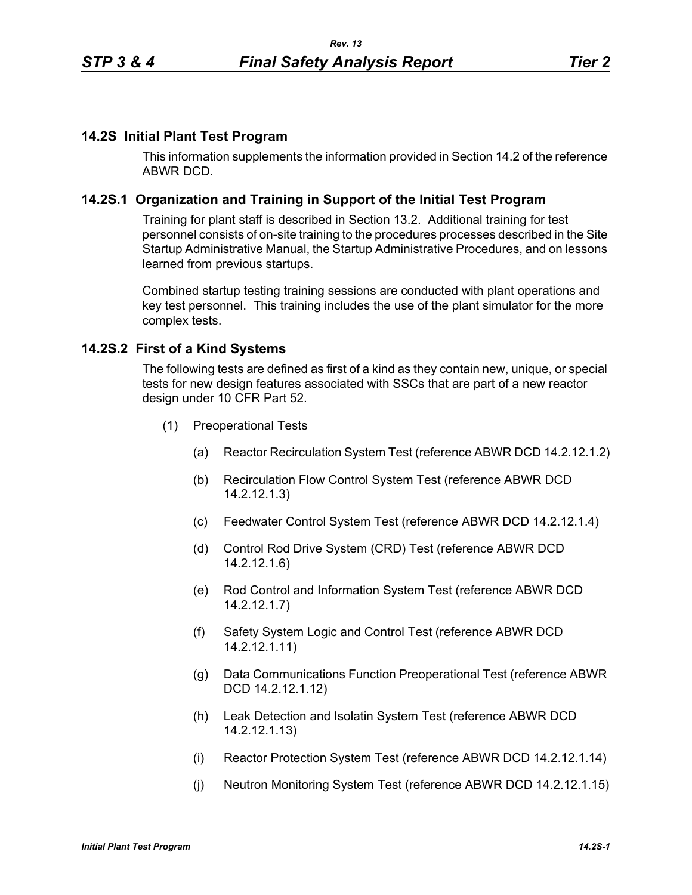# **14.2S Initial Plant Test Program**

This information supplements the information provided in Section 14.2 of the reference ABWR DCD.

# **14.2S.1 Organization and Training in Support of the Initial Test Program**

Training for plant staff is described in Section 13.2. Additional training for test personnel consists of on-site training to the procedures processes described in the Site Startup Administrative Manual, the Startup Administrative Procedures, and on lessons learned from previous startups.

Combined startup testing training sessions are conducted with plant operations and key test personnel. This training includes the use of the plant simulator for the more complex tests.

## **14.2S.2 First of a Kind Systems**

The following tests are defined as first of a kind as they contain new, unique, or special tests for new design features associated with SSCs that are part of a new reactor design under 10 CFR Part 52.

- (1) Preoperational Tests
	- (a) Reactor Recirculation System Test (reference ABWR DCD 14.2.12.1.2)
	- (b) Recirculation Flow Control System Test (reference ABWR DCD 14.2.12.1.3)
	- (c) Feedwater Control System Test (reference ABWR DCD 14.2.12.1.4)
	- (d) Control Rod Drive System (CRD) Test (reference ABWR DCD 14.2.12.1.6)
	- (e) Rod Control and Information System Test (reference ABWR DCD 14.2.12.1.7)
	- (f) Safety System Logic and Control Test (reference ABWR DCD 14.2.12.1.11)
	- (g) Data Communications Function Preoperational Test (reference ABWR DCD 14.2.12.1.12)
	- (h) Leak Detection and Isolatin System Test (reference ABWR DCD 14.2.12.1.13)
	- (i) Reactor Protection System Test (reference ABWR DCD 14.2.12.1.14)
	- (j) Neutron Monitoring System Test (reference ABWR DCD 14.2.12.1.15)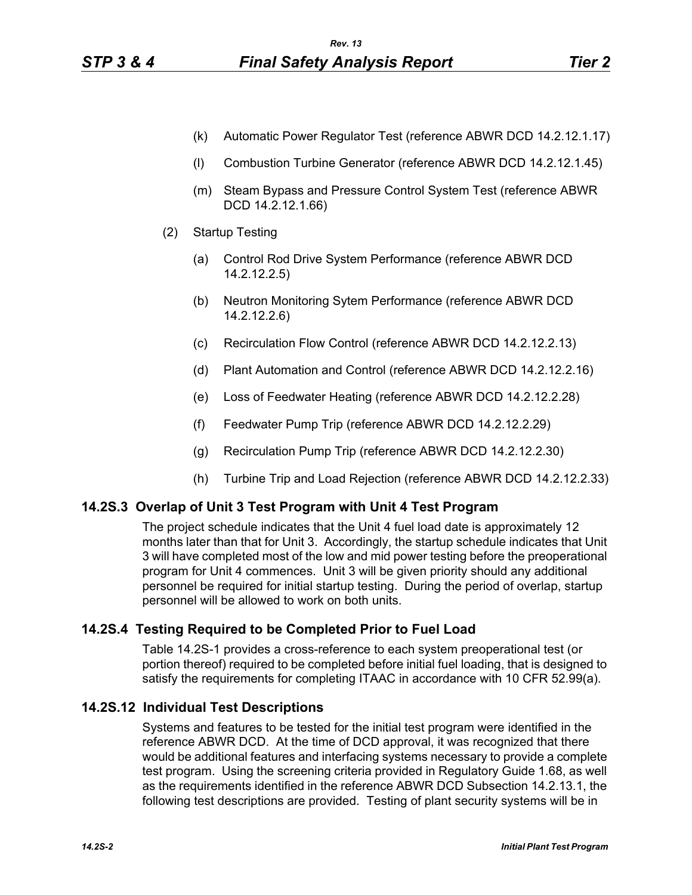- (k) Automatic Power Regulator Test (reference ABWR DCD 14.2.12.1.17)
- (l) Combustion Turbine Generator (reference ABWR DCD 14.2.12.1.45)
- (m) Steam Bypass and Pressure Control System Test (reference ABWR DCD 14.2.12.1.66)
- (2) Startup Testing
	- (a) Control Rod Drive System Performance (reference ABWR DCD 14.2.12.2.5)
	- (b) Neutron Monitoring Sytem Performance (reference ABWR DCD 14.2.12.2.6)
	- (c) Recirculation Flow Control (reference ABWR DCD 14.2.12.2.13)
	- (d) Plant Automation and Control (reference ABWR DCD 14.2.12.2.16)
	- (e) Loss of Feedwater Heating (reference ABWR DCD 14.2.12.2.28)
	- (f) Feedwater Pump Trip (reference ABWR DCD 14.2.12.2.29)
	- (g) Recirculation Pump Trip (reference ABWR DCD 14.2.12.2.30)
	- (h) Turbine Trip and Load Rejection (reference ABWR DCD 14.2.12.2.33)

## **14.2S.3 Overlap of Unit 3 Test Program with Unit 4 Test Program**

The project schedule indicates that the Unit 4 fuel load date is approximately 12 months later than that for Unit 3. Accordingly, the startup schedule indicates that Unit 3 will have completed most of the low and mid power testing before the preoperational program for Unit 4 commences. Unit 3 will be given priority should any additional personnel be required for initial startup testing. During the period of overlap, startup personnel will be allowed to work on both units.

## **14.2S.4 Testing Required to be Completed Prior to Fuel Load**

Table 14.2S-1 provides a cross-reference to each system preoperational test (or portion thereof) required to be completed before initial fuel loading, that is designed to satisfy the requirements for completing ITAAC in accordance with 10 CFR 52.99(a).

## **14.2S.12 Individual Test Descriptions**

Systems and features to be tested for the initial test program were identified in the reference ABWR DCD. At the time of DCD approval, it was recognized that there would be additional features and interfacing systems necessary to provide a complete test program. Using the screening criteria provided in Regulatory Guide 1.68, as well as the requirements identified in the reference ABWR DCD Subsection 14.2.13.1, the following test descriptions are provided. Testing of plant security systems will be in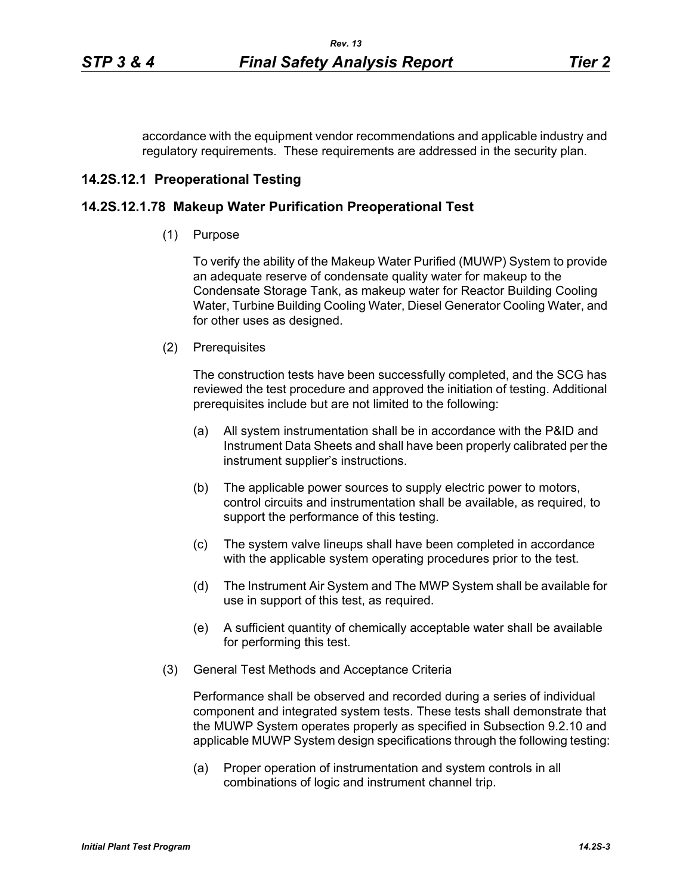accordance with the equipment vendor recommendations and applicable industry and regulatory requirements. These requirements are addressed in the security plan.

### **14.2S.12.1 Preoperational Testing**

### **14.2S.12.1.78 Makeup Water Purification Preoperational Test**

(1) Purpose

To verify the ability of the Makeup Water Purified (MUWP) System to provide an adequate reserve of condensate quality water for makeup to the Condensate Storage Tank, as makeup water for Reactor Building Cooling Water, Turbine Building Cooling Water, Diesel Generator Cooling Water, and for other uses as designed.

(2) Prerequisites

The construction tests have been successfully completed, and the SCG has reviewed the test procedure and approved the initiation of testing. Additional prerequisites include but are not limited to the following:

- (a) All system instrumentation shall be in accordance with the P&ID and Instrument Data Sheets and shall have been properly calibrated per the instrument supplier's instructions.
- (b) The applicable power sources to supply electric power to motors, control circuits and instrumentation shall be available, as required, to support the performance of this testing.
- (c) The system valve lineups shall have been completed in accordance with the applicable system operating procedures prior to the test.
- (d) The Instrument Air System and The MWP System shall be available for use in support of this test, as required.
- (e) A sufficient quantity of chemically acceptable water shall be available for performing this test.
- (3) General Test Methods and Acceptance Criteria

Performance shall be observed and recorded during a series of individual component and integrated system tests. These tests shall demonstrate that the MUWP System operates properly as specified in Subsection 9.2.10 and applicable MUWP System design specifications through the following testing:

(a) Proper operation of instrumentation and system controls in all combinations of logic and instrument channel trip.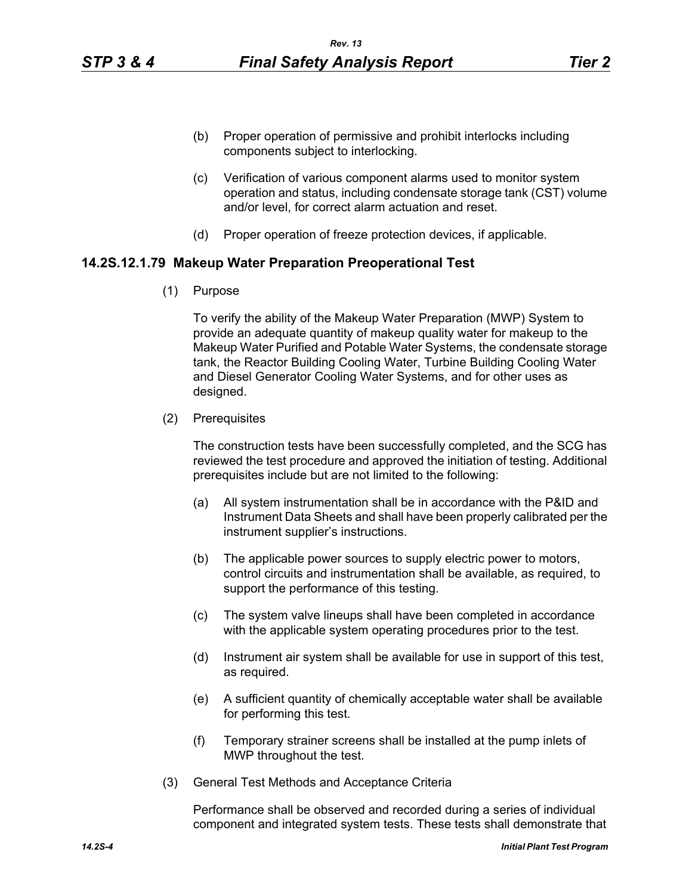- (b) Proper operation of permissive and prohibit interlocks including components subject to interlocking.
- (c) Verification of various component alarms used to monitor system operation and status, including condensate storage tank (CST) volume and/or level, for correct alarm actuation and reset.
- (d) Proper operation of freeze protection devices, if applicable.

#### **14.2S.12.1.79 Makeup Water Preparation Preoperational Test**

(1) Purpose

To verify the ability of the Makeup Water Preparation (MWP) System to provide an adequate quantity of makeup quality water for makeup to the Makeup Water Purified and Potable Water Systems, the condensate storage tank, the Reactor Building Cooling Water, Turbine Building Cooling Water and Diesel Generator Cooling Water Systems, and for other uses as designed.

(2) Prerequisites

The construction tests have been successfully completed, and the SCG has reviewed the test procedure and approved the initiation of testing. Additional prerequisites include but are not limited to the following:

- (a) All system instrumentation shall be in accordance with the P&ID and Instrument Data Sheets and shall have been properly calibrated per the instrument supplier's instructions.
- (b) The applicable power sources to supply electric power to motors, control circuits and instrumentation shall be available, as required, to support the performance of this testing.
- (c) The system valve lineups shall have been completed in accordance with the applicable system operating procedures prior to the test.
- (d) Instrument air system shall be available for use in support of this test, as required.
- (e) A sufficient quantity of chemically acceptable water shall be available for performing this test.
- (f) Temporary strainer screens shall be installed at the pump inlets of MWP throughout the test.
- (3) General Test Methods and Acceptance Criteria

Performance shall be observed and recorded during a series of individual component and integrated system tests. These tests shall demonstrate that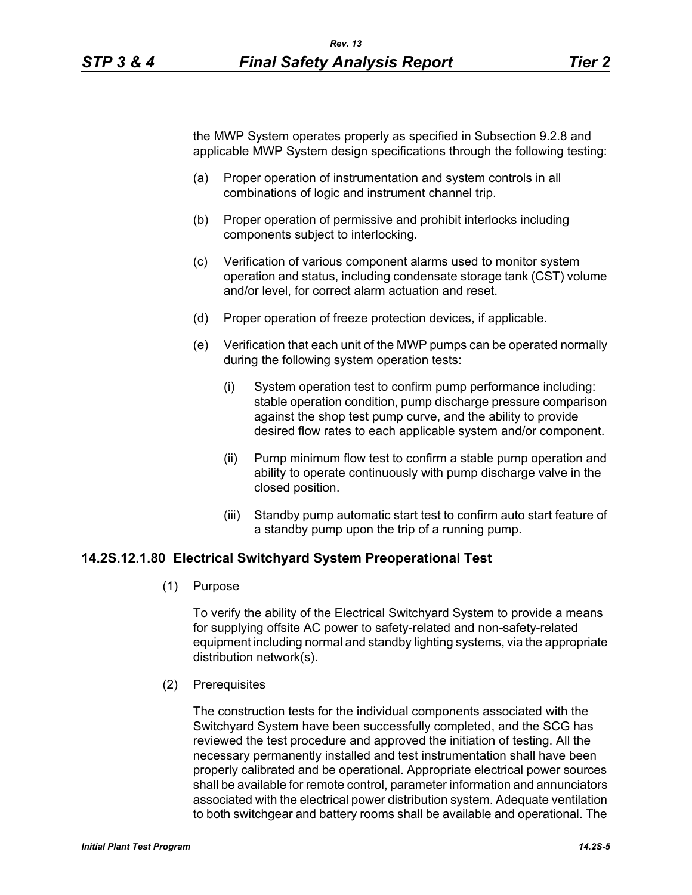the MWP System operates properly as specified in Subsection 9.2.8 and applicable MWP System design specifications through the following testing:

- (a) Proper operation of instrumentation and system controls in all combinations of logic and instrument channel trip.
- (b) Proper operation of permissive and prohibit interlocks including components subject to interlocking.
- (c) Verification of various component alarms used to monitor system operation and status, including condensate storage tank (CST) volume and/or level, for correct alarm actuation and reset.
- (d) Proper operation of freeze protection devices, if applicable.
- (e) Verification that each unit of the MWP pumps can be operated normally during the following system operation tests:
	- (i) System operation test to confirm pump performance including: stable operation condition, pump discharge pressure comparison against the shop test pump curve, and the ability to provide desired flow rates to each applicable system and/or component.
	- (ii) Pump minimum flow test to confirm a stable pump operation and ability to operate continuously with pump discharge valve in the closed position.
	- (iii) Standby pump automatic start test to confirm auto start feature of a standby pump upon the trip of a running pump.

### **14.2S.12.1.80 Electrical Switchyard System Preoperational Test**

(1) Purpose

To verify the ability of the Electrical Switchyard System to provide a means for supplying offsite AC power to safety-related and non-safety-related equipment including normal and standby lighting systems, via the appropriate distribution network(s).

(2) Prerequisites

The construction tests for the individual components associated with the Switchyard System have been successfully completed, and the SCG has reviewed the test procedure and approved the initiation of testing. All the necessary permanently installed and test instrumentation shall have been properly calibrated and be operational. Appropriate electrical power sources shall be available for remote control, parameter information and annunciators associated with the electrical power distribution system. Adequate ventilation to both switchgear and battery rooms shall be available and operational. The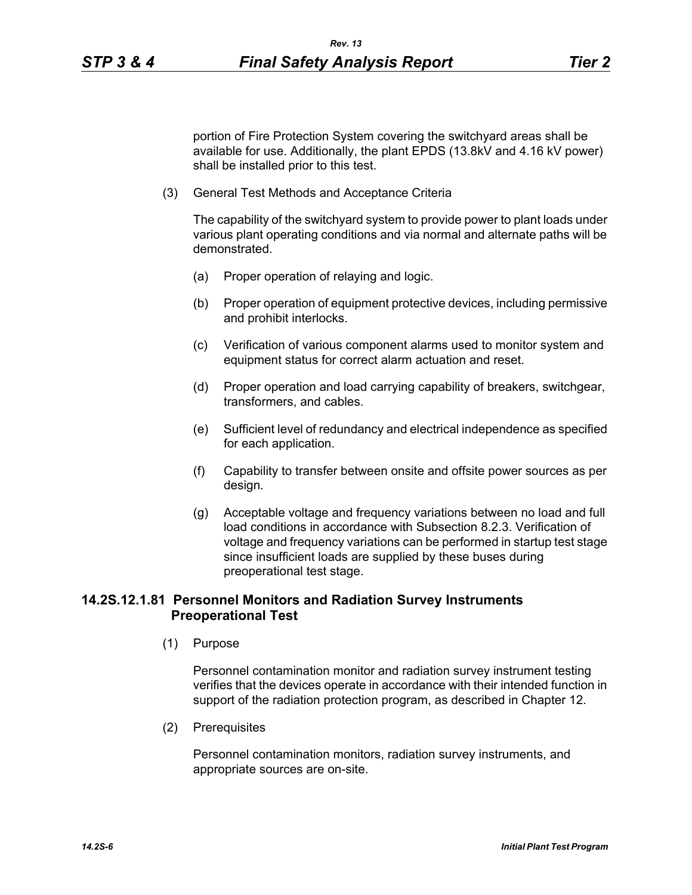portion of Fire Protection System covering the switchyard areas shall be available for use. Additionally, the plant EPDS (13.8kV and 4.16 kV power) shall be installed prior to this test.

(3) General Test Methods and Acceptance Criteria

The capability of the switchyard system to provide power to plant loads under various plant operating conditions and via normal and alternate paths will be demonstrated.

- (a) Proper operation of relaying and logic.
- (b) Proper operation of equipment protective devices, including permissive and prohibit interlocks.
- (c) Verification of various component alarms used to monitor system and equipment status for correct alarm actuation and reset.
- (d) Proper operation and load carrying capability of breakers, switchgear, transformers, and cables.
- (e) Sufficient level of redundancy and electrical independence as specified for each application.
- (f) Capability to transfer between onsite and offsite power sources as per design.
- (g) Acceptable voltage and frequency variations between no load and full load conditions in accordance with Subsection 8.2.3. Verification of voltage and frequency variations can be performed in startup test stage since insufficient loads are supplied by these buses during preoperational test stage.

# **14.2S.12.1.81 Personnel Monitors and Radiation Survey Instruments Preoperational Test**

(1) Purpose

Personnel contamination monitor and radiation survey instrument testing verifies that the devices operate in accordance with their intended function in support of the radiation protection program, as described in Chapter 12.

(2) Prerequisites

Personnel contamination monitors, radiation survey instruments, and appropriate sources are on-site.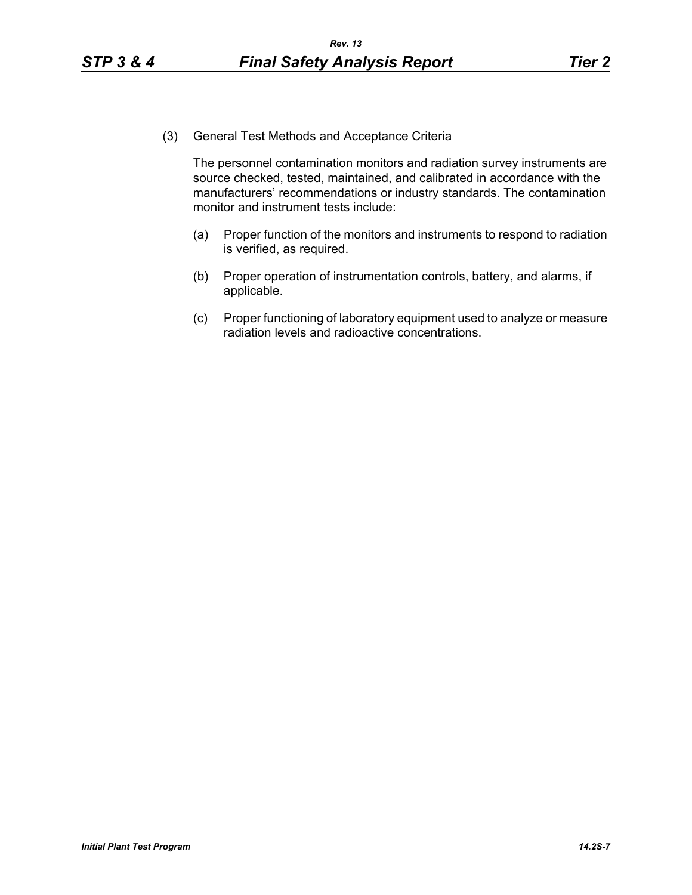(3) General Test Methods and Acceptance Criteria

The personnel contamination monitors and radiation survey instruments are source checked, tested, maintained, and calibrated in accordance with the manufacturers' recommendations or industry standards. The contamination monitor and instrument tests include:

- (a) Proper function of the monitors and instruments to respond to radiation is verified, as required.
- (b) Proper operation of instrumentation controls, battery, and alarms, if applicable.
- (c) Proper functioning of laboratory equipment used to analyze or measure radiation levels and radioactive concentrations.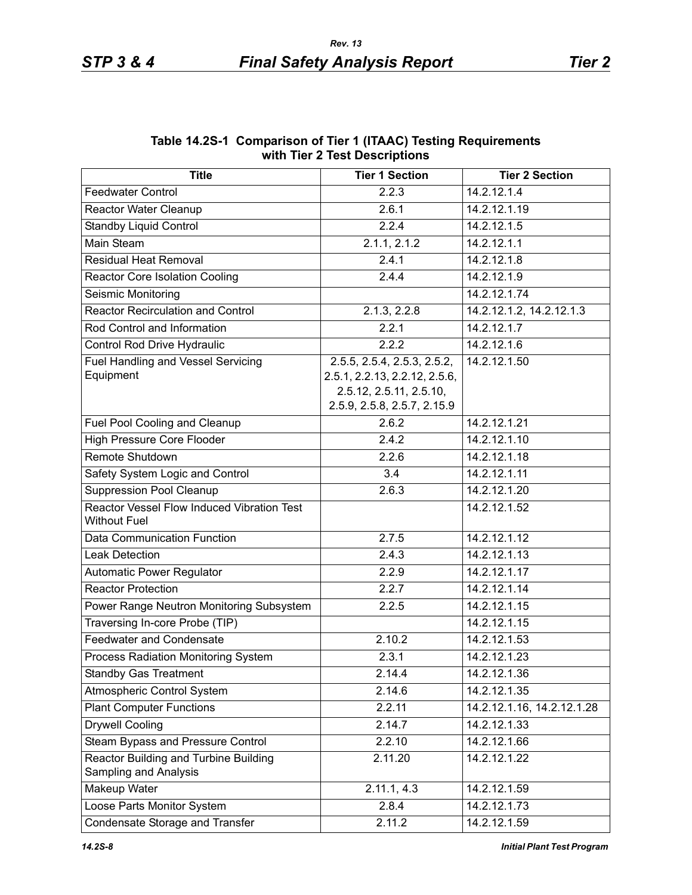| MIIII IIEI 7 IESI DESCHINIUIIS                                    |                                                                                                                        |                            |  |  |
|-------------------------------------------------------------------|------------------------------------------------------------------------------------------------------------------------|----------------------------|--|--|
| <b>Title</b>                                                      | <b>Tier 1 Section</b>                                                                                                  | <b>Tier 2 Section</b>      |  |  |
| <b>Feedwater Control</b>                                          | 2.2.3                                                                                                                  | 14.2.12.1.4                |  |  |
| Reactor Water Cleanup                                             | 2.6.1                                                                                                                  | 14.2.12.1.19               |  |  |
| <b>Standby Liquid Control</b>                                     | 2.2.4                                                                                                                  | 14.2.12.1.5                |  |  |
| <b>Main Steam</b>                                                 | 2.1.1, 2.1.2                                                                                                           | 14.2.12.1.1                |  |  |
| <b>Residual Heat Removal</b>                                      | 2.4.1                                                                                                                  | 14.2.12.1.8                |  |  |
| <b>Reactor Core Isolation Cooling</b>                             | 2.4.4                                                                                                                  | 14.2.12.1.9                |  |  |
| Seismic Monitoring                                                |                                                                                                                        | 14.2.12.1.74               |  |  |
| <b>Reactor Recirculation and Control</b>                          | 2.1.3, 2.2.8                                                                                                           | 14.2.12.1.2, 14.2.12.1.3   |  |  |
| Rod Control and Information                                       | 2.2.1                                                                                                                  | 14.2.12.1.7                |  |  |
| Control Rod Drive Hydraulic                                       | 2.2.2                                                                                                                  | 14.2.12.1.6                |  |  |
| <b>Fuel Handling and Vessel Servicing</b><br>Equipment            | 2.5.5, 2.5.4, 2.5.3, 2.5.2,<br>2.5.1, 2.2.13, 2.2.12, 2.5.6,<br>2.5.12, 2.5.11, 2.5.10,<br>2.5.9, 2.5.8, 2.5.7, 2.15.9 | 14.2.12.1.50               |  |  |
| Fuel Pool Cooling and Cleanup                                     | 2.6.2                                                                                                                  | 14.2.12.1.21               |  |  |
| <b>High Pressure Core Flooder</b>                                 | 2.4.2                                                                                                                  | 14.2.12.1.10               |  |  |
| Remote Shutdown                                                   | 2.2.6                                                                                                                  | 14.2.12.1.18               |  |  |
| Safety System Logic and Control                                   | 3.4                                                                                                                    | 14.2.12.1.11               |  |  |
| <b>Suppression Pool Cleanup</b>                                   | 2.6.3                                                                                                                  | 14.2.12.1.20               |  |  |
| Reactor Vessel Flow Induced Vibration Test<br><b>Without Fuel</b> |                                                                                                                        | 14.2.12.1.52               |  |  |
| <b>Data Communication Function</b>                                | 2.7.5                                                                                                                  | 14.2.12.1.12               |  |  |
| <b>Leak Detection</b>                                             | 2.4.3                                                                                                                  | 14.2.12.1.13               |  |  |
| <b>Automatic Power Regulator</b>                                  | 2.2.9                                                                                                                  | 14.2.12.1.17               |  |  |
| <b>Reactor Protection</b>                                         | 2.2.7                                                                                                                  | 14.2.12.1.14               |  |  |
| Power Range Neutron Monitoring Subsystem                          | 2.2.5                                                                                                                  | 14.2.12.1.15               |  |  |
| Traversing In-core Probe (TIP)                                    |                                                                                                                        | 14.2.12.1.15               |  |  |
| <b>Feedwater and Condensate</b>                                   | 2.10.2                                                                                                                 | 14.2.12.1.53               |  |  |
| Process Radiation Monitoring System                               | 2.3.1                                                                                                                  | 14.2.12.1.23               |  |  |
| <b>Standby Gas Treatment</b>                                      | 2.14.4                                                                                                                 | 14.2.12.1.36               |  |  |
| Atmospheric Control System                                        | 2.14.6                                                                                                                 | 14.2.12.1.35               |  |  |
| <b>Plant Computer Functions</b>                                   | 2.2.11                                                                                                                 | 14.2.12.1.16, 14.2.12.1.28 |  |  |
| <b>Drywell Cooling</b>                                            | 2.14.7                                                                                                                 | 14.2.12.1.33               |  |  |
| Steam Bypass and Pressure Control                                 | 2.2.10                                                                                                                 | 14.2.12.1.66               |  |  |
| Reactor Building and Turbine Building<br>Sampling and Analysis    | 2.11.20                                                                                                                | 14.2.12.1.22               |  |  |
| Makeup Water                                                      | 2.11.1, 4.3                                                                                                            | 14.2.12.1.59               |  |  |
| Loose Parts Monitor System                                        | 2.8.4                                                                                                                  | 14.2.12.1.73               |  |  |
| Condensate Storage and Transfer                                   | 2.11.2                                                                                                                 | 14.2.12.1.59               |  |  |

### **Table 14.2S-1 Comparison of Tier 1 (ITAAC) Testing Requirements with Tier 2 Test Descriptions**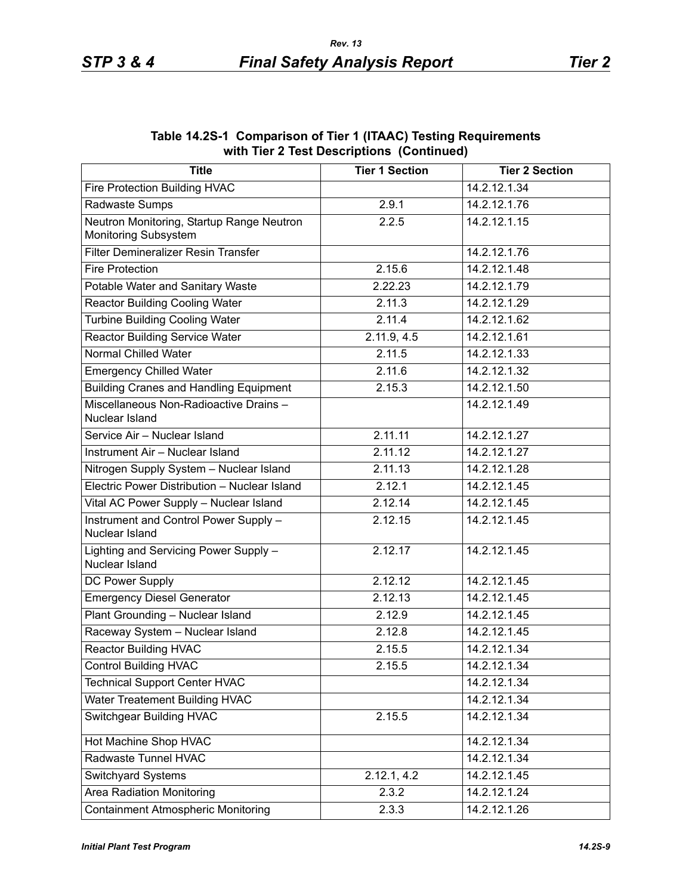| <b>Title</b>                                                      | <b>Tier 1 Section</b> | <b>Tier 2 Section</b> |
|-------------------------------------------------------------------|-----------------------|-----------------------|
| Fire Protection Building HVAC                                     |                       | 14.2.12.1.34          |
| Radwaste Sumps                                                    | 2.9.1                 | 14.2.12.1.76          |
| Neutron Monitoring, Startup Range Neutron<br>Monitoring Subsystem | 2.2.5                 | 14.2.12.1.15          |
| Filter Demineralizer Resin Transfer                               |                       | 14.2.12.1.76          |
| <b>Fire Protection</b>                                            | 2.15.6                | 14.2.12.1.48          |
| Potable Water and Sanitary Waste                                  | 2.22.23               | 14.2.12.1.79          |
| <b>Reactor Building Cooling Water</b>                             | 2.11.3                | 14.2.12.1.29          |
| <b>Turbine Building Cooling Water</b>                             | 2.11.4                | 14.2.12.1.62          |
| <b>Reactor Building Service Water</b>                             | 2.11.9, 4.5           | 14.2.12.1.61          |
| Normal Chilled Water                                              | 2.11.5                | 14.2.12.1.33          |
| <b>Emergency Chilled Water</b>                                    | 2.11.6                | 14.2.12.1.32          |
| <b>Building Cranes and Handling Equipment</b>                     | 2.15.3                | 14.2.12.1.50          |
| Miscellaneous Non-Radioactive Drains -<br>Nuclear Island          |                       | 14.2.12.1.49          |
| Service Air - Nuclear Island                                      | 2.11.11               | 14.2.12.1.27          |
| Instrument Air - Nuclear Island                                   | 2.11.12               | 14.2.12.1.27          |
| Nitrogen Supply System - Nuclear Island                           | 2.11.13               | 14.2.12.1.28          |
| Electric Power Distribution - Nuclear Island                      | 2.12.1                | 14.2.12.1.45          |
| Vital AC Power Supply - Nuclear Island                            | 2.12.14               | 14.2.12.1.45          |
| Instrument and Control Power Supply -<br>Nuclear Island           | 2.12.15               | 14.2.12.1.45          |
| Lighting and Servicing Power Supply -<br>Nuclear Island           | 2.12.17               | 14.2.12.1.45          |
| <b>DC Power Supply</b>                                            | 2.12.12               | 14.2.12.1.45          |
| <b>Emergency Diesel Generator</b>                                 | 2.12.13               | 14.2.12.1.45          |
| Plant Grounding - Nuclear Island                                  | 2.12.9                | 14.2.12.1.45          |
| Raceway System - Nuclear Island                                   | 2.12.8                | 14.2.12.1.45          |
| <b>Reactor Building HVAC</b>                                      | 2.15.5                | 14.2.12.1.34          |
| <b>Control Building HVAC</b>                                      | 2.15.5                | 14.2.12.1.34          |
| <b>Technical Support Center HVAC</b>                              |                       | 14.2.12.1.34          |
| Water Treatement Building HVAC                                    |                       | 14.2.12.1.34          |
| <b>Switchgear Building HVAC</b>                                   | 2.15.5                | 14.2.12.1.34          |
| Hot Machine Shop HVAC                                             |                       | 14.2.12.1.34          |
| Radwaste Tunnel HVAC                                              |                       | 14.2.12.1.34          |
| Switchyard Systems                                                | 2.12.1, 4.2           | 14.2.12.1.45          |
| Area Radiation Monitoring                                         | 2.3.2                 | 14.2.12.1.24          |
| <b>Containment Atmospheric Monitoring</b>                         | 2.3.3                 | 14.2.12.1.26          |

#### **Table 14.2S-1 Comparison of Tier 1 (ITAAC) Testing Requirements with Tier 2 Test Descriptions (Continued)**